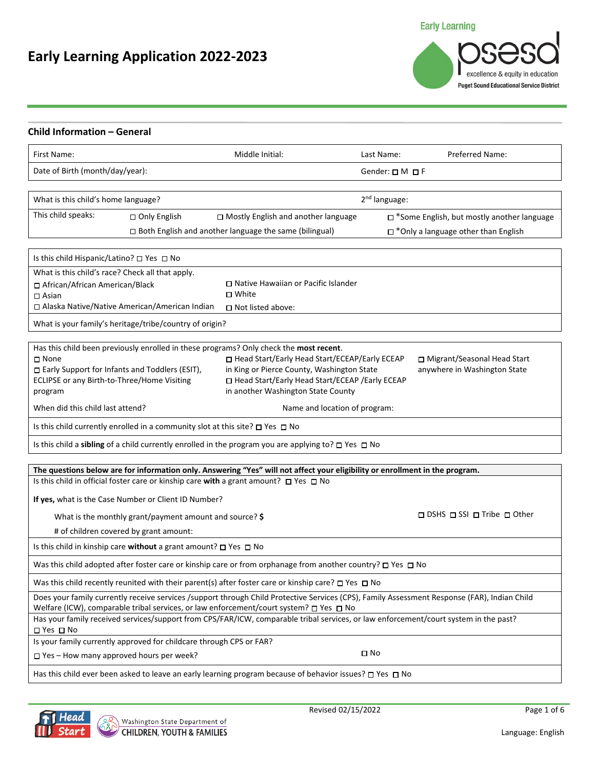# **Early Learning Application 2022-2023**

**Early Learning** 

excellence & equity in education **Puget Sound Educational Service District** 

| Child Information - General                                                                                                                                                                                                            |                                                               |                               |                                              |  |
|----------------------------------------------------------------------------------------------------------------------------------------------------------------------------------------------------------------------------------------|---------------------------------------------------------------|-------------------------------|----------------------------------------------|--|
| First Name:                                                                                                                                                                                                                            | Middle Initial:                                               | Last Name:                    | Preferred Name:                              |  |
| Date of Birth (month/day/year):                                                                                                                                                                                                        |                                                               | Gender: $\square M \square F$ |                                              |  |
| What is this child's home language?                                                                                                                                                                                                    |                                                               | 2 <sup>nd</sup> language:     |                                              |  |
|                                                                                                                                                                                                                                        |                                                               |                               |                                              |  |
| This child speaks:<br>□ Only English                                                                                                                                                                                                   | $\Box$ Mostly English and another language                    |                               | □ *Some English, but mostly another language |  |
|                                                                                                                                                                                                                                        | $\Box$ Both English and another language the same (bilingual) |                               | $\Box$ *Only a language other than English   |  |
| Is this child Hispanic/Latino? □ Yes □ No                                                                                                                                                                                              |                                                               |                               |                                              |  |
| What is this child's race? Check all that apply.                                                                                                                                                                                       |                                                               |                               |                                              |  |
| □ African/African American/Black                                                                                                                                                                                                       | □ Native Hawaiian or Pacific Islander                         |                               |                                              |  |
| $\Box$ Asian                                                                                                                                                                                                                           | □ White                                                       |                               |                                              |  |
| □ Alaska Native/Native American/American Indian                                                                                                                                                                                        | $\Box$ Not listed above:                                      |                               |                                              |  |
| What is your family's heritage/tribe/country of origin?                                                                                                                                                                                |                                                               |                               |                                              |  |
| Has this child been previously enrolled in these programs? Only check the most recent.                                                                                                                                                 |                                                               |                               |                                              |  |
| □ None                                                                                                                                                                                                                                 | □ Head Start/Early Head Start/ECEAP/Early ECEAP               |                               | □ Migrant/Seasonal Head Start                |  |
| □ Early Support for Infants and Toddlers (ESIT),                                                                                                                                                                                       | in King or Pierce County, Washington State                    |                               | anywhere in Washington State                 |  |
| ECLIPSE or any Birth-to-Three/Home Visiting                                                                                                                                                                                            | □ Head Start/Early Head Start/ECEAP /Early ECEAP              |                               |                                              |  |
| program                                                                                                                                                                                                                                | in another Washington State County                            |                               |                                              |  |
| When did this child last attend?                                                                                                                                                                                                       | Name and location of program:                                 |                               |                                              |  |
| Is this child currently enrolled in a community slot at this site? $\square$ Yes $\square$ No                                                                                                                                          |                                                               |                               |                                              |  |
| Is this child a sibling of a child currently enrolled in the program you are applying to? $\square$ Yes $\square$ No                                                                                                                   |                                                               |                               |                                              |  |
|                                                                                                                                                                                                                                        |                                                               |                               |                                              |  |
| The questions below are for information only. Answering "Yes" will not affect your eligibility or enrollment in the program.<br>Is this child in official foster care or kinship care with a grant amount? $\Box$ Yes $\Box$ No        |                                                               |                               |                                              |  |
|                                                                                                                                                                                                                                        |                                                               |                               |                                              |  |
| If yes, what is the Case Number or Client ID Number?                                                                                                                                                                                   |                                                               |                               |                                              |  |
| What is the monthly grant/payment amount and source? \$                                                                                                                                                                                |                                                               |                               | □ DSHS □ SSI □ Tribe □ Other                 |  |
| # of children covered by grant amount:                                                                                                                                                                                                 |                                                               |                               |                                              |  |
| Is this child in kinship care without a grant amount? $\square$ Yes $\square$ No                                                                                                                                                       |                                                               |                               |                                              |  |
| Was this child adopted after foster care or kinship care or from orphanage from another country? $\Box$ Yes $\Box$ No                                                                                                                  |                                                               |                               |                                              |  |
| Was this child recently reunited with their parent(s) after foster care or kinship care? $\square$ Yes $\square$ No                                                                                                                    |                                                               |                               |                                              |  |
| Does your family currently receive services /support through Child Protective Services (CPS), Family Assessment Response (FAR), Indian Child<br>Welfare (ICW), comparable tribal services, or law enforcement/court system? □ Yes □ No |                                                               |                               |                                              |  |
| Has your family received services/support from CPS/FAR/ICW, comparable tribal services, or law enforcement/court system in the past?                                                                                                   |                                                               |                               |                                              |  |
| $\square$ Yes $\square$ No<br>Is your family currently approved for childcare through CPS or FAR?                                                                                                                                      |                                                               |                               |                                              |  |
| $\Box$ Yes – How many approved hours per week?                                                                                                                                                                                         | $\square$ No                                                  |                               |                                              |  |
| Has this child ever been asked to leave an early learning program because of behavior issues? $\Box$ Yes $\Box$ No                                                                                                                     |                                                               |                               |                                              |  |
|                                                                                                                                                                                                                                        |                                                               |                               |                                              |  |



Revised 02/15/2022 Page 1 of 6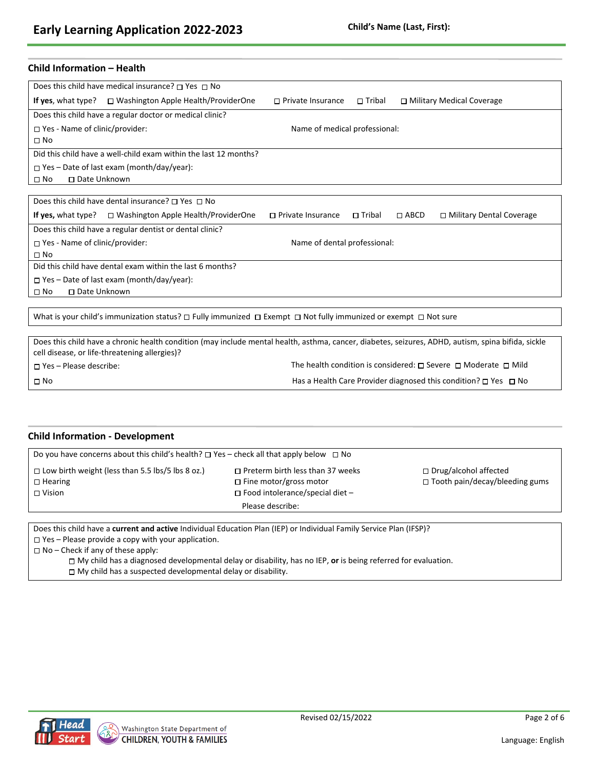### **Child Information – Health**

| Does this child have medical insurance? $\Box$ Yes $\Box$ No                                                                                                   |
|----------------------------------------------------------------------------------------------------------------------------------------------------------------|
| <b>If yes,</b> what type? $\Box$ Washington Apple Health/ProviderOne<br>$\Box$ Private Insurance<br>$\square$ Tribal<br>□ Military Medical Coverage            |
| Does this child have a regular doctor or medical clinic?                                                                                                       |
| $\Box$ Yes - Name of clinic/provider:<br>Name of medical professional:                                                                                         |
| $\square$ No                                                                                                                                                   |
| Did this child have a well-child exam within the last 12 months?                                                                                               |
| $\Box$ Yes – Date of last exam (month/day/year):                                                                                                               |
| □ Date Unknown<br>$\square$ No                                                                                                                                 |
|                                                                                                                                                                |
| Does this child have dental insurance? $\Box$ Yes $\Box$ No                                                                                                    |
| <b>If yes,</b> what type? $\Box$ Washington Apple Health/ProviderOne<br>$\Box$ Tribal<br>□ Military Dental Coverage<br>$\Box$ Private Insurance<br>$\Box$ ABCD |
| Does this child have a regular dentist or dental clinic?                                                                                                       |
| $\Box$ Yes - Name of clinic/provider:<br>Name of dental professional:                                                                                          |
| $\square$ No                                                                                                                                                   |
| Did this child have dental exam within the last 6 months?                                                                                                      |
| $\Box$ Yes – Date of last exam (month/day/year):                                                                                                               |

No Date Unknown

What is your child's immunization status?  $\Box$  Fully immunized  $\Box$  Exempt  $\Box$  Not fully immunized or exempt  $\Box$  Not sure

Does this child have a chronic health condition (may include mental health, asthma, cancer, diabetes, seizures, ADHD, autism, spina bifida, sickle cell disease, or life-threatening allergies)?  $\square$  Yes – Please describe: The health condition is considered:  $\square$  Severe  $\square$  Moderate  $\square$  Mild

No Has a Health Care Provider diagnosed this condition? Yes No

### **Child Information - Development**

| Do you have concerns about this child's health? $\Box$ Yes - check all that apply below $\Box$ No                                                                                                                |                  |                                                                  |  |  |
|------------------------------------------------------------------------------------------------------------------------------------------------------------------------------------------------------------------|------------------|------------------------------------------------------------------|--|--|
| $\Box$ Low birth weight (less than 5.5 lbs/5 lbs 8 oz.)<br>$\Box$ Preterm birth less than 37 weeks<br>$\Box$ Fine motor/gross motor<br>$\Box$ Hearing<br>$\Box$ Food intolerance/special diet -<br>$\Box$ Vision |                  | □ Drug/alcohol affected<br>$\Box$ Tooth pain/decay/bleeding gums |  |  |
|                                                                                                                                                                                                                  | Please describe: |                                                                  |  |  |
|                                                                                                                                                                                                                  |                  |                                                                  |  |  |

Does this child have a **current and active** Individual Education Plan (IEP) or Individual Family Service Plan (IFSP)?

Yes – Please provide a copy with your application.

No – Check if any of these apply:

My child has a diagnosed developmental delay or disability, has no IEP, **or** is being referred for evaluation. My child has a suspected developmental delay or disability.

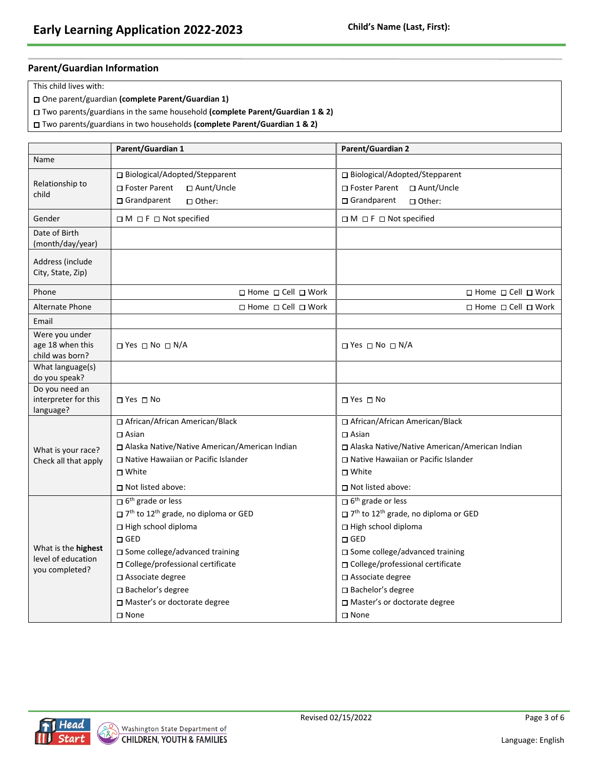### **Parent/Guardian Information**

This child lives with:

- One parent/guardian **(complete Parent/Guardian 1)**
- Two parents/guardians in the same household **(complete Parent/Guardian 1 & 2)**
- Two parents/guardians in two households **(complete Parent/Guardian 1 & 2)**

|                                                       | Parent/Guardian 1                                                      | Parent/Guardian 2                                                      |  |  |
|-------------------------------------------------------|------------------------------------------------------------------------|------------------------------------------------------------------------|--|--|
| Name                                                  |                                                                        |                                                                        |  |  |
|                                                       | □ Biological/Adopted/Stepparent                                        | □ Biological/Adopted/Stepparent                                        |  |  |
| Relationship to                                       | □ Foster Parent<br>□ Aunt/Uncle                                        | □ Foster Parent<br>□ Aunt/Uncle                                        |  |  |
| child                                                 | □ Grandparent<br>□ Other:                                              | $\Box$ Grandparent<br>□ Other:                                         |  |  |
| Gender                                                | $\Box$ M $\Box$ F $\Box$ Not specified                                 | $\Box$ M $\Box$ F $\Box$ Not specified                                 |  |  |
| Date of Birth<br>(month/day/year)                     |                                                                        |                                                                        |  |  |
| Address (include<br>City, State, Zip)                 |                                                                        |                                                                        |  |  |
| Phone                                                 | $\Box$ Home $\Box$ Cell $\Box$ Work                                    | $\Box$ Home $\Box$ Cell $\Box$ Work                                    |  |  |
| <b>Alternate Phone</b>                                | $\Box$ Home $\Box$ Cell $\Box$ Work                                    | □ Home □ Cell □ Work                                                   |  |  |
| Email                                                 |                                                                        |                                                                        |  |  |
| Were you under<br>age 18 when this<br>child was born? | $\Box$ Yes $\Box$ No $\Box$ N/A                                        | □ Yes □ No □ N/A                                                       |  |  |
| What language(s)<br>do you speak?                     |                                                                        |                                                                        |  |  |
| Do you need an<br>interpreter for this<br>language?   | □ Yes □ No                                                             | □ Yes □ No                                                             |  |  |
|                                                       | □ African/African American/Black                                       | □ African/African American/Black                                       |  |  |
|                                                       | $\Box$ Asian                                                           | $\Box$ Asian                                                           |  |  |
| What is your race?                                    | □ Alaska Native/Native American/American Indian                        | □ Alaska Native/Native American/American Indian                        |  |  |
| Check all that apply                                  | □ Native Hawaiian or Pacific Islander                                  | □ Native Hawaiian or Pacific Islander                                  |  |  |
|                                                       | □ White                                                                | □ White                                                                |  |  |
|                                                       | $\Box$ Not listed above:                                               | $\Box$ Not listed above:                                               |  |  |
|                                                       | $\square$ 6 <sup>th</sup> grade or less                                | $\square$ 6 <sup>th</sup> grade or less                                |  |  |
|                                                       | $\square$ 7 <sup>th</sup> to 12 <sup>th</sup> grade, no diploma or GED | $\square$ 7 <sup>th</sup> to 12 <sup>th</sup> grade, no diploma or GED |  |  |
|                                                       | □ High school diploma                                                  | □ High school diploma                                                  |  |  |
|                                                       | $\Box$ GED                                                             | $\Box$ GED                                                             |  |  |
| What is the <b>highest</b>                            | □ Some college/advanced training                                       | □ Some college/advanced training                                       |  |  |
| level of education<br>you completed?                  | □ College/professional certificate                                     | □ College/professional certificate                                     |  |  |
|                                                       | □ Associate degree                                                     | □ Associate degree                                                     |  |  |
|                                                       | □ Bachelor's degree                                                    | □ Bachelor's degree                                                    |  |  |
|                                                       | □ Master's or doctorate degree                                         | □ Master's or doctorate degree                                         |  |  |
|                                                       | □ None                                                                 | □ None                                                                 |  |  |

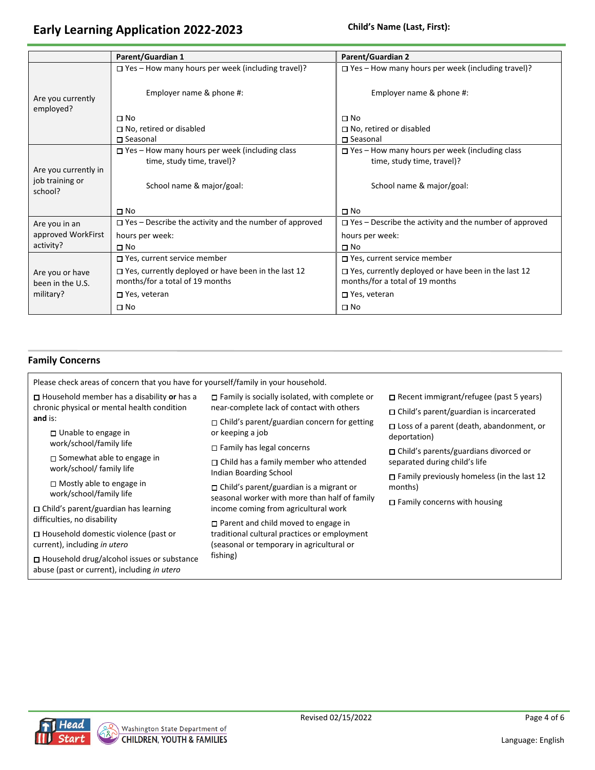## **Early Learning Application 2022-2023 Child's Name (Last, First):**

|                                                    | Parent/Guardian 1                                                                             | Parent/Guardian 2                                                                             |
|----------------------------------------------------|-----------------------------------------------------------------------------------------------|-----------------------------------------------------------------------------------------------|
|                                                    | $\Box$ Yes – How many hours per week (including travel)?                                      | $\square$ Yes - How many hours per week (including travel)?                                   |
| Are you currently<br>employed?                     | Employer name & phone #:                                                                      | Employer name & phone #:                                                                      |
|                                                    | $\Box$ No                                                                                     | $\Box$ No                                                                                     |
|                                                    | $\Box$ No, retired or disabled                                                                | $\Box$ No, retired or disabled                                                                |
|                                                    | □ Seasonal                                                                                    | $\square$ Seasonal                                                                            |
|                                                    | $\Box$ Yes – How many hours per week (including class                                         | $\Box$ Yes – How many hours per week (including class                                         |
|                                                    | time, study time, travel)?                                                                    | time, study time, travel)?                                                                    |
| Are you currently in<br>job training or<br>school? | School name & major/goal:                                                                     | School name & major/goal:                                                                     |
|                                                    | $\Box$ No                                                                                     | $\square$ No                                                                                  |
| Are you in an                                      | $\Box$ Yes – Describe the activity and the number of approved                                 | $\square$ Yes - Describe the activity and the number of approved                              |
| approved WorkFirst                                 | hours per week:                                                                               | hours per week:                                                                               |
| activity?                                          | $\Box$ No                                                                                     | $\Box$ No                                                                                     |
|                                                    | $\Box$ Yes, current service member                                                            | □ Yes, current service member                                                                 |
| Are you or have<br>been in the U.S.                | $\Box$ Yes, currently deployed or have been in the last 12<br>months/for a total of 19 months | $\Box$ Yes, currently deployed or have been in the last 12<br>months/for a total of 19 months |
| military?                                          | □ Yes, veteran                                                                                | □ Yes, veteran                                                                                |
|                                                    | $\Box$ No                                                                                     | $\Box$ No                                                                                     |

### **Family Concerns**

| Please check areas of concern that you have for yourself/family in your household.               |                                                                                            |                                                                 |  |  |  |
|--------------------------------------------------------------------------------------------------|--------------------------------------------------------------------------------------------|-----------------------------------------------------------------|--|--|--|
| $\Box$ Household member has a disability or has a                                                | $\Box$ Family is socially isolated, with complete or                                       | $\Box$ Recent immigrant/refugee (past 5 years)                  |  |  |  |
| chronic physical or mental health condition                                                      | near-complete lack of contact with others                                                  | $\Box$ Child's parent/guardian is incarcerated                  |  |  |  |
| and is:<br>$\Box$ Unable to engage in                                                            | $\Box$ Child's parent/guardian concern for getting<br>or keeping a job                     | $\Box$ Loss of a parent (death, abandonment, or<br>deportation) |  |  |  |
| work/school/family life                                                                          | $\Box$ Family has legal concerns                                                           | $\Box$ Child's parents/guardians divorced or                    |  |  |  |
| $\Box$ Somewhat able to engage in<br>work/school/ family life                                    | $\Box$ Child has a family member who attended<br>Indian Boarding School                    | separated during child's life                                   |  |  |  |
|                                                                                                  |                                                                                            | $\Box$ Family previously homeless (in the last 12               |  |  |  |
| $\Box$ Mostly able to engage in<br>work/school/family life                                       | $\Box$ Child's parent/guardian is a migrant or                                             | months)                                                         |  |  |  |
|                                                                                                  | seasonal worker with more than half of family                                              | $\Box$ Family concerns with housing                             |  |  |  |
| $\Box$ Child's parent/guardian has learning<br>difficulties, no disability                       | income coming from agricultural work                                                       |                                                                 |  |  |  |
|                                                                                                  | $\Box$ Parent and child moved to engage in<br>traditional cultural practices or employment |                                                                 |  |  |  |
| $\Box$ Household domestic violence (past or<br>current), including in utero                      | (seasonal or temporary in agricultural or                                                  |                                                                 |  |  |  |
| $\Box$ Household drug/alcohol issues or substance<br>abuse (past or current), including in utero | fishing)                                                                                   |                                                                 |  |  |  |

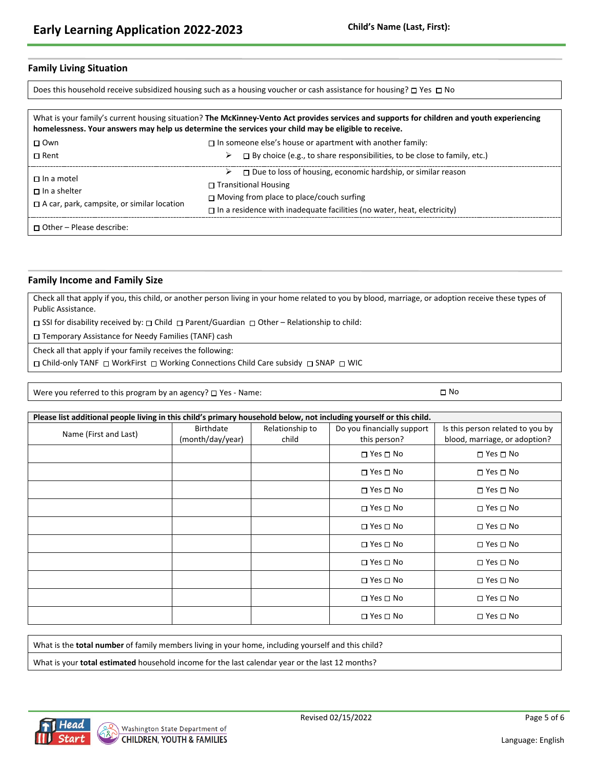### **Family Living Situation**

Does this household receive subsidized housing such as a housing voucher or cash assistance for housing?  $\Box$  Yes  $\Box$  No

|                                                                                               | What is your family's current housing situation? The McKinney-Vento Act provides services and supports for children and youth experiencing<br>homelessness. Your answers may help us determine the services your child may be eligible to receive.          |
|-----------------------------------------------------------------------------------------------|-------------------------------------------------------------------------------------------------------------------------------------------------------------------------------------------------------------------------------------------------------------|
| $\Box$ Own                                                                                    | $\Box$ In someone else's house or apartment with another family:                                                                                                                                                                                            |
| $\Box$ Rent                                                                                   | $\Box$ By choice (e.g., to share responsibilities, to be close to family, etc.)                                                                                                                                                                             |
| $\Box$ In a motel<br>$\Box$ In a shelter<br>$\Box$ A car, park, campsite, or similar location | $\triangleright$ $\square$ Due to loss of housing, economic hardship, or similar reason<br>$\Box$ Transitional Housing<br>$\Box$ Moving from place to place/couch surfing<br>$\Box$ In a residence with inadequate facilities (no water, heat, electricity) |
| $\Box$ Other – Please describe:                                                               |                                                                                                                                                                                                                                                             |

#### **Family Income and Family Size**

Check all that apply if you, this child, or another person living in your home related to you by blood, marriage, or adoption receive these types of Public Assistance.

 $\Box$  SSI for disability received by:  $\Box$  Child  $\Box$  Parent/Guardian  $\Box$  Other – Relationship to child:

Temporary Assistance for Needy Families (TANF) cash

Check all that apply if your family receives the following:

O Child-only TANF O WorkFirst O Working Connections Child Care subsidy O SNAP O WIC

Were you referred to this program by an agency?  $\Box$  Yes - Name:  $\Box$  No

| Please list additional people living in this child's primary household below, not including yourself or this child. |                  |                 |                            |                                  |
|---------------------------------------------------------------------------------------------------------------------|------------------|-----------------|----------------------------|----------------------------------|
| Name (First and Last)                                                                                               | <b>Birthdate</b> | Relationship to | Do you financially support | Is this person related to you by |
|                                                                                                                     | (month/day/year) | child           | this person?               | blood, marriage, or adoption?    |
|                                                                                                                     |                  |                 | $\Box$ Yes $\Box$ No       | $\square$ Yes $\square$ No       |
|                                                                                                                     |                  |                 | $\square$ Yes $\square$ No | $\square$ Yes $\square$ No       |
|                                                                                                                     |                  |                 | $\Box$ Yes $\Box$ No       | $\Box$ Yes $\Box$ No             |
|                                                                                                                     |                  |                 | $\Box$ Yes $\Box$ No       | $\square$ Yes $\square$ No       |
|                                                                                                                     |                  |                 | $\Box$ Yes $\Box$ No       | $\square$ Yes $\square$ No       |
|                                                                                                                     |                  |                 | $\Box$ Yes $\Box$ No       | $\square$ Yes $\square$ No       |
|                                                                                                                     |                  |                 | $\Box$ Yes $\Box$ No       | $\square$ Yes $\square$ No       |
|                                                                                                                     |                  |                 | $\Box$ Yes $\Box$ No       | $\square$ Yes $\square$ No       |
|                                                                                                                     |                  |                 | $\Box$ Yes $\Box$ No       | $\square$ Yes $\square$ No       |
|                                                                                                                     |                  |                 | $\Box$ Yes $\Box$ No       | $\square$ Yes $\square$ No       |

What is the **total number** of family members living in your home, including yourself and this child?

What is your **total estimated** household income for the last calendar year or the last 12 months?